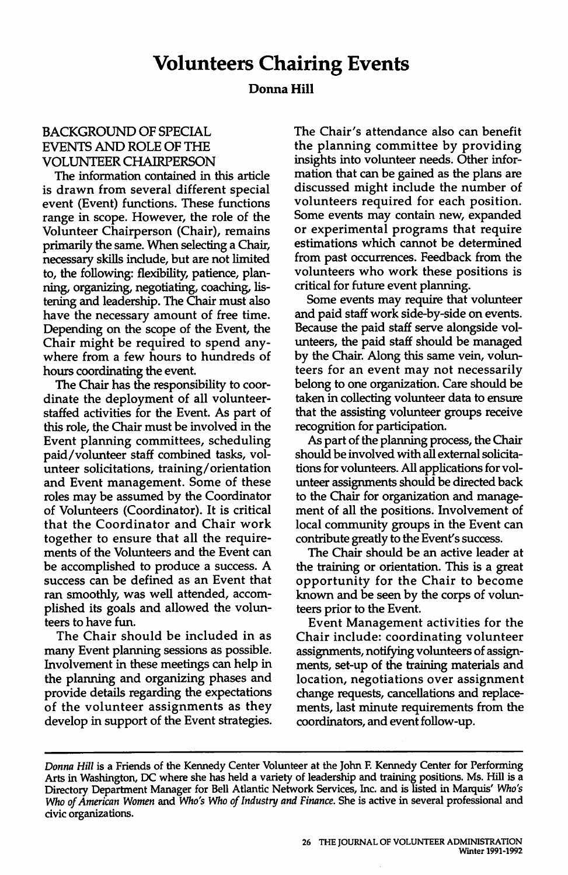## **Donna Hill**

## BACKGROUND OF SPECIAL EVENTS AND ROLE OF THE VOLUNTEER CHAIRPERSON

The information contained in this article is drawn from several different special event (Event) functions. These functions range in scope. However, the role of the Volunteer Chairperson (Chair), remains primarily the same. When selecting a Chair, necessary skills include, but are not limited to, the following: flexibility, patience, planning, organizing, negotiating, coaching, listening and leadership. The Chair must also have the necessary amount of free time. Depending on the scope of the Event, the Chair might be required to spend anywhere from a few hours to hundreds of hours coordinating the event.

The Chair has the responsibility to coordinate the deployment of all volunteerstaffed activities for the Event. As part of this role, the Chair must be involved in the Event planning committees, scheduling paid/volunteer staff combined tasks, volunteer solicitations, training/ orientation and Event management. Some of these roles may be assumed by the Coordinator of Volunteers (Coordinator). It is critical that the Coordinator and Chair work together to ensure that all the requirements of the Volunteers and the Event can be accomplished to produce a success. A success can be defined as an Event that ran smoothly, was well attended, accomplished its goals and allowed the volunteers to have fun.

The Chair should be included in as many Event planning sessions as possible. Involvement in these meetings can help in the planning and organizing phases and provide details regarding the expectations of the volunteer assignments as they develop in support of the Event strategies. The Chair's attendance also can benefit the planning committee by providing insights into volunteer needs. Other information that can be gained as the plans are discussed might include the number of volunteers required for each position. Some events may contain new, expanded or experimental programs that require estimations which cannot be determined from past occurrences. Feedback from the volunteers who work these positions is critical for future event planning.

Some events may require that volunteer and paid staff work side-by-side on events. Because the paid staff serve alongside volunteers, the paid staff should be managed by the Chair. Along this same vein, volunteers for an event may not necessarily belong to one organization. Care should be taken in collecting volunteer data to ensure that the assisting volunteer groups receive recognition for participation.

As part of the planning process, the Chair should be involved with all external solicitations for volunteers. All applications for volunteer assignments should be directed back to the Chair for organization and management of all the positions. Involvement of local community groups in the Event can contribute greatly to the Event's success.

The Chair should be an active leader at the training or orientation. This is a great opportunity for the Chair to become known and be seen by the corps of volunteers prior to the Event.

Event Management activities for the Chair include: coordinating volunteer assignments, notifying volunteers of assignments, set-up of the training materials and location, negotiations over assignment change requests, cancellations and replacements, last minute requirements from the coordinators, and event follow-up.

*Donna Hill* is a Friends of the Kennedy Center Volunteer at the John F. Kennedy Center for Performing Arts in Washington, DC where she has held a variety of leadership and training positions. Ms. Hill is a Directory Department Manager for Bell Atlantic Network Services, Inc. and is listed in Marquis' *Who's Who of American Women* and *Who's Who of Industry and Finance.* She is active in several professional and civic organizations.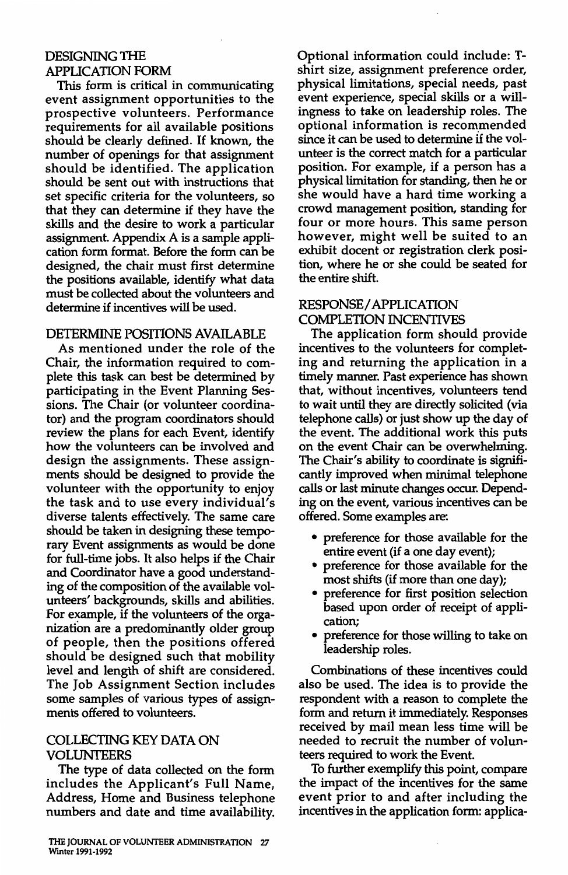# DESIGNING THE APPLICATION FORM

This form is critical in communicating event assignment opportunities to the prospective volunteers. Performance requirements for all available positions should be clearly defined. If known, the number of openings for that assignment should be identified. The application should be sent out with instructions that set specific criteria for the volunteers, so that they can determine if they have the skills and the desire to work a particular assignment. Appendix A is a sample application form format. Before the form can be designed, the chair must first determine the positions available, identify what data must be collected about the volunteers and determine if incentives will be used.

## DETERMINE POSITIONS AVAILABLE

As mentioned under the role of the Chair, the information required to complete this task can best be determined by participating in the Event Planning Sessions. The Chair (or volunteer coordinator) and the program coordinators should review the plans for each Event, identify how the volunteers can be involved and design the assignments. These assignments should be designed to provide the volunteer with the opportunity to enjoy the task and to use every individual's diverse talents effectively. The same care should be taken in designing these temporary Event assignments as would be done for full-time jobs. It also helps if the Chair and Coordinator have a good understanding of the composition of the available volunteers' backgrounds, skills and abilities. For example, if the volunteers of the organization are a predominantly older group of people, then the positions offered should be designed such that mobility level and length of shift are considered. The Job Assignment Section includes some samples of various types of assignments offered to volunteers.

## COLLECTING KEY DATA ON VOLUNTEERS

The type of data collected on the form includes the Applicant's Full Name, Address, Home and Business telephone numbers and date and time availability. Optional information could include: Tshirt size, assignment preference order, physical limitations, special needs, past event experience, special skills or a willingness to take on leadership roles. The optional information is recommended since it can be used to determine if the volunteer is the correct match for a particular position. For example, if a person has a physical limitation for standing, then he or she would have a hard time working a crowd management position, standing for four or more hours. This same person however, might well be suited to an exhibit docent or registration clerk position, where he or she could be seated for the entire shift.

# RESPONSE/ APPLICATION COMPLETION INCENTIVES

The application form should provide incentives to the volunteers for completing and returning the application in a timely manner. Past experience has shown that, without incentives, volunteers tend to wait until they are directly solicited (via telephone calls) or just show up the day of the event. The additional work this puts on the event Chair can be overwhelming. The Chair's ability to coordinate is **signifi**cantly improved when minimal telephone calls or last minute changes occur. Depending on the event, various incentives can be offered. Some examples are:

- preference for those available for the entire event (if a one day event);
- preference for those available for the most shifts (if more than one day);
- preference for first position selection based upon order of receipt of application;
- preference for those willing to take on leadership roles.

Combinations of these incentives could also be used. The idea is to provide the respondent with a reason to complete the form and return it immediately. Responses received by mail mean less time will be needed to recruit the number of volunteers required to work the Event.

To further exemplify this point, compare the impact of the incentives for the same event prior to and after including the incentives in the application form: applica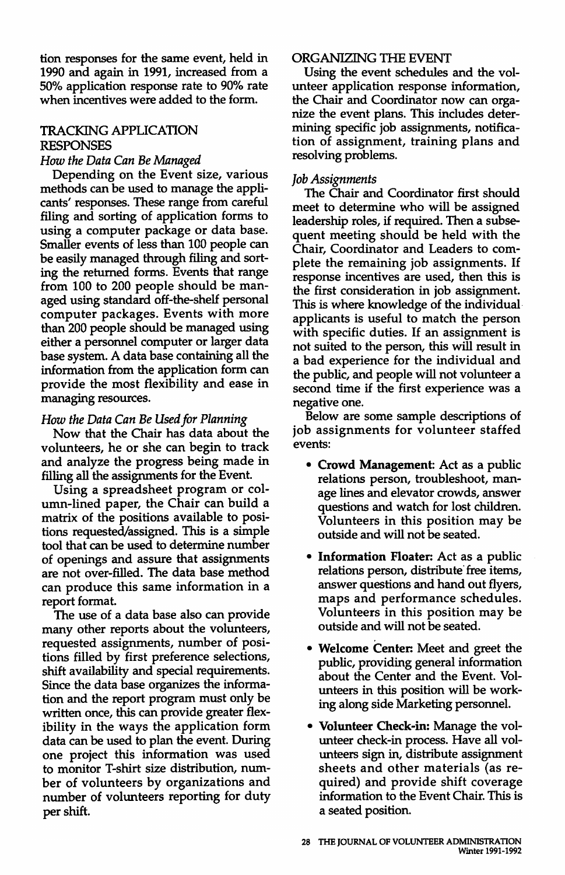tion responses for the same event, held in 1990 and again in 1991, increased from a 50% application response rate to 90% rate when incentives were added to the form.

# TRACKING APPLICATION RESPONSES

#### *How the Data Can Be Managed*

Depending on the Event size, various methods can be used to manage the applicants' responses. These range from careful filing and sorting of application forms to using a computer package or data base. Smaller events of less than 100 people can be easily managed through filing and sorting the returned forms. Events that range from 100 to 200 people should be managed using standard off-the-shelf personal computer packages. Events with more than 200 people should be managed using either a personnel computer or larger data base system. A data base containing all the information from the application form can provide the most flexibility and ease in managing resources.

#### *How the Data Can Be Used for Planning*

Now that the Chair has data about the volunteers, he or she can begin to track and analyze the progress being made in filling all the assignments for the Event.

Using a spreadsheet program or column-lined paper, the Chair can build a matrix of the positions available to positions requested/assigned. This is a simple tool that can be used to determine number of openings and assure that assignments are not over-filled. The data base method can produce this same information in a report format.

The use of a data base also can provide many other reports about the volunteers, requested assignments, number of positions filled by first preference selections, shift availability and special requirements. Since the data base organizes the information and the report program must only be written once, this can provide greater flexibility in the ways the application form data can be used to plan the event. During one project this information was used to monitor T-shirt size distribution, number of volunteers by organizations and number of volunteers reporting for duty per shift.

### ORGANIZING THE EVENT

Using the event schedules and the volunteer application response information, the Chair and Coordinator now can organize the event plans. This includes determining specific job assignments, notification of assignment, training plans and resolving problems.

### *Job Assignments*

The Chair and Coordinator first should meet to determine who will be assigned leadership roles, if required. Then a subsequent meeting should be held with the Chair, Coordinator and Leaders to complete the remaining job assignments. If response incentives are used, then this is the first consideration in job assignment. This is where knowledge of the individual· applicants is useful to match the person with specific duties. If an assignment is not suited to the person, this will result in a bad experience for the individual and the public, and people will not volunteer a second time if the first experience was a negative one.

Below are some sample descriptions of job assignments for volunteer staffed events:

- **Crowd Management:** Act as a public relations person, troubleshoot, manage lines and elevator crowds, answer questions and watch for lost children. Volunteers in this position may be outside and will not be seated.
- **Information Floater:** Act as a public relations person, distribute free items, answer questions and hand out flyers, maps and performance schedules. Volunteers in this position may be outside and will not be seated.
- **Welcome Center:** Meet and greet the public, providing general information about the Center and the Event. Volunteers in this position will be working along side Marketing personnel.
- **Volunteer Check-in:** Manage the volunteer check-in process. Have all volunteers sign in, distribute assignment sheets and other materials (as required) and provide shift coverage information to the Event Chair. This is a seated position.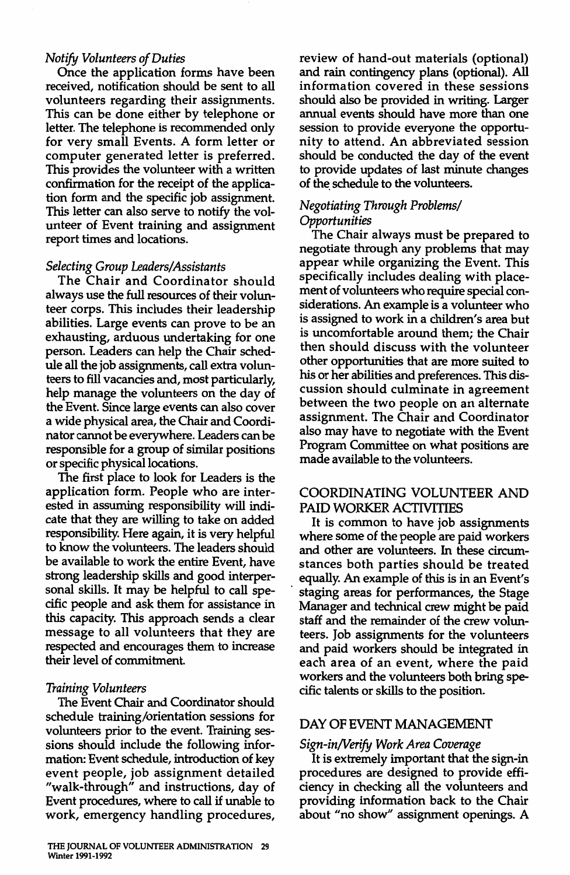#### *Notify Volunteers of Duties*

Once the application forms have been received, notification should be sent to all volunteers regarding their assignments. This can be done either by telephone or letter. The telephone is recommended only for very small Events. A form letter or computer generated letter is preferred. This provides the volunteer with a written confirmation for the receipt of the application form and the specific job assignment. This letter can also serve to notify the volunteer of Event training and assignment report times and locations.

#### *Selecting Group Leaders/Assistants*

The Chair and Coordinator should always use the full resources of their volunteer corps. This includes their leadership abilities. Large events can prove to be an exhausting, arduous undertaking for one person. Leaders can help the Chair schedule all the job assignments, call extra volunteers to fill vacancies and, most particularly, help manage the volunteers on the day of the Event. Since large events can also cover a wide physical area, the Chair and Coordinator cannot be everywhere. Leaders can be responsible for a group of similar positions or specific physical locations.

The first place to look for Leaders is the application form. People who are interested in assuming responsibility will indicate that they are willing to take on added responsibility. Here again, it is very helpful to know the volunteers. The leaders should be available to work the entire Event, have strong leadership skills and good interpersonal skills. It may be helpful to call specific people and ask them for assistance in this capacity. This approach sends a clear message to all volunteers that they are respected and encourages them to increase their level of commitment.

## *Training Volunteers*

The Event Chair and Coordinator should schedule training/orientation sessions for volunteers prior to the event. Training sessions should include the following information: Event schedule, introduction of key event people, job assignment detailed "walk-through" and instructions, day of Event procedures, where to call if unable to work, emergency handling procedures, review of hand-out materials (optional) and rain contingency plans ( optional). All information covered in these sessions should also be provided in writing. Larger annual events should have more than one session to provide everyone the opportunity to attend. An abbreviated session should be conducted the day of the event to provide updates of last minute changes of the schedule to the volunteers.

## *Negotiating Through Problems/ Opportunities*

The Chair always must be prepared to negotiate through any problems that may appear while organizing the Event. This specifically includes dealing with placement of volunteers who require special considerations. An example is a volunteer who is assigned to work in a children's area but is uncomfortable around them; the Chair then should discuss with the volunteer other opportunities that are more suited to his or her abilities and preferences. This discussion should culminate in agreement between the two people on an alternate assignment. The Chair and Coordinator also may have to negotiate with the Event Program Committee on what positions are made available to the volunteers.

## COORDINATING VOLUNTEER AND PAID WORKER ACTIVITIES

It is common to have job assignments where some of the people are paid workers and other are volunteers. In these circumstances both parties should be treated equally. An example of this is in an Event's staging areas for performances, the Stage Manager and technical crew might be paid staff and the remainder of the crew volunteers. Job assignments for the volunteers and paid workers should be integrated in each area of an event, where the paid workers and the volunteers both bring specific talents or skills to the position.

# DAY OF EVENT MANAGEMENT

# *Sign-in/Verify Work Area Coverage*

It is extremely important that the sign-in procedures are designed to provide efficiency in checking all the volunteers and providing information back to the Chair about "no show" assignment openings. A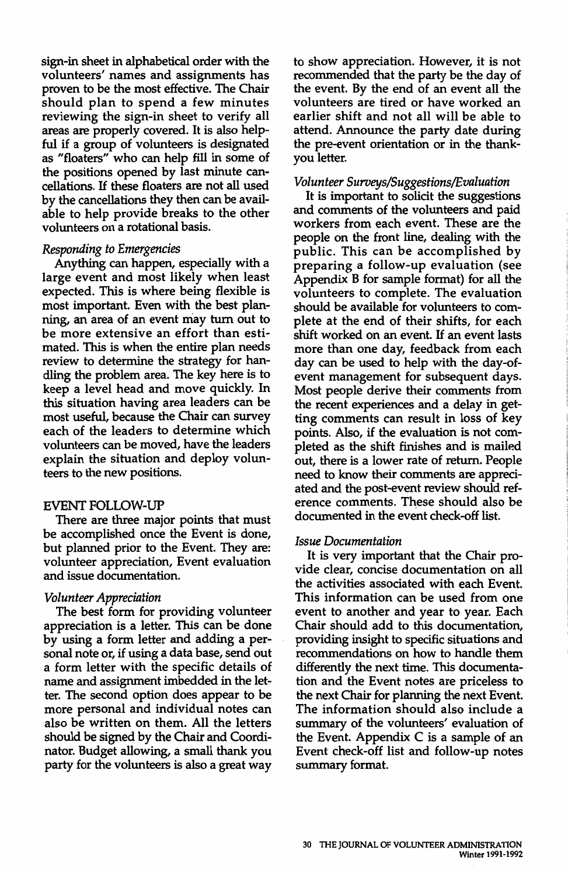sign-in sheet in alphabetical order with the volunteers' names and assignments has proven to be the most effective. The Chair should plan to spend a few minutes reviewing the sign-in sheet to verify all areas are properly covered. It is also helpful if a group of volunteers is designated as "floaters" who can help fill in some of the positions opened by last minute cancellations. H these floaters are not all used by the cancellations they then can be available to help provide breaks to the other volunteers on a rotational basis.

#### *Responding to Emergencies*

Anything can happen, especially with a large event and most likely when least expected. This is where being flexible is most important. Even with the best planning, an area of an event may tum out to be more extensive an effort than estimated. This is when the entire plan needs review to determine the strategy for handling the problem area. The key here is to keep a level head and move quickly. In this situation having area leaders can be most useful, because the Chair can survey each of the leaders to determine which volunteers can be moved, have the leaders explain the situation and deploy volunteers to the new positions.

#### EVENT FOLLOW-UP

There are three major points that must be accomplished once the Event is done, but planned prior to the Event. They are: volunteer appreciation, Event evaluation and issue documentation.

#### *Volunteer Appreciation*

The best form for providing volunteer appreciation is a letter. This can be done by using a form letter and adding a personal note or, if using a data base, send out a form letter with the specific details of name and assignment imbedded in the letter. The second option does appear to be more personal and individual notes can also be written on them. All the letters should be signed by the Chair and Coordinator. Budget allowing, a small thank you party for the volunteers is also a great way to show appreciation. However, it is not recommended that the party be the day of the event. By the end of an event all the volunteers are tired or have worked an earlier shift and not all will be able to attend. Announce the party date during the pre-event orientation or in the thankyou letter.

#### *Volunteer Suroeys/Suggestions/E.valuation*

It is important to solicit the suggestions and comments of the volunteers and paid workers from each event. These are the people on the front line, dealing with the public. This can be accomplished by preparing a follow-up evaluation (see Appendix B for sample format) for all the volunteers to complete. The evaluation should be available for volunteers to complete at the end of their shifts, for each shift worked on an event. H an event lasts more than one day, feedback from each day can be used to help with the day-ofevent management for subsequent days. Most people derive their comments from the recent experiences and a delay in getting comments can result in loss of key points. Also, if the evaluation is not completed as the shift finishes and is mailed out, there is a lower rate of return. People need to know their comments are appreciated and the post-event review should reference comments. These should also be documented in the event check-off list.

#### *Issue Documentation*

It is very important that the Chair provide clear, concise documentation on all the activities associated with each Event. This information can be used from one event to another and year to year. Each Chair should add to this documentation, providing insight to specific situations and recommendations on how to handle them differently the next time. This documentation and the Event notes are priceless to the next Chair for planning the next Event. The information should also include a summary of the volunteers' evaluation of the Event. Appendix C is a sample of an Event check-off list and follow-up notes summary format.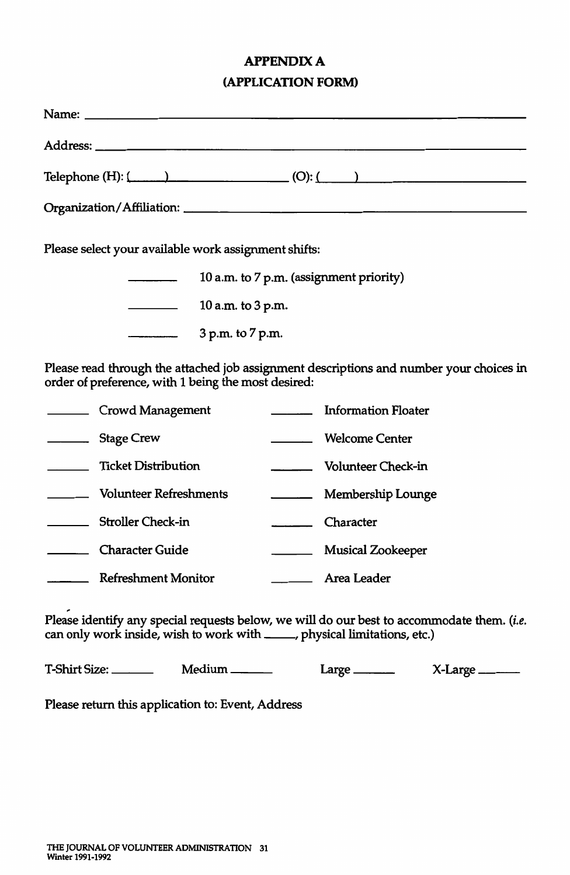# **APPENDIXA (APPLICATION FORM)**

| Telephone (H): $($ $)$                                                                                                                                                   |  |  |  |  |
|--------------------------------------------------------------------------------------------------------------------------------------------------------------------------|--|--|--|--|
|                                                                                                                                                                          |  |  |  |  |
| Please select your available work assignment shifts:                                                                                                                     |  |  |  |  |
| 10 a.m. to 7 p.m. (assignment priority)                                                                                                                                  |  |  |  |  |
| 10 a.m. to 3 p.m.                                                                                                                                                        |  |  |  |  |
| $\overline{\phantom{a}}$<br>3 p.m. to 7 p.m.                                                                                                                             |  |  |  |  |
| Please read through the attached job assignment descriptions and number your choices in<br>order of preference, with 1 being the most desired:                           |  |  |  |  |
| <b>Information Floater</b><br>Crowd Management                                                                                                                           |  |  |  |  |
| Welcome Center<br>Stage Crew                                                                                                                                             |  |  |  |  |
| <b>Example 2</b> Ticket Distribution<br>Volunteer Check-in                                                                                                               |  |  |  |  |
| Volunteer Refreshments<br>Membership Lounge                                                                                                                              |  |  |  |  |
| Stroller Check-in<br>Character                                                                                                                                           |  |  |  |  |
| Character Guide<br><b>Musical Zookeeper</b>                                                                                                                              |  |  |  |  |
| Refreshment Monitor<br><b>Area Leader</b>                                                                                                                                |  |  |  |  |
| Please identify any special requests below, we will do our best to accommodate them. (i.e.<br>can only work inside, wish to work with _____, physical limitations, etc.) |  |  |  |  |

T-Shirt Size: \_\_\_\_\_\_\_\_\_\_ Medium \_\_\_\_\_\_\_ Large \_\_\_\_\_\_\_\_ X-Large \_\_\_\_\_\_

Please return this application to: Event, Address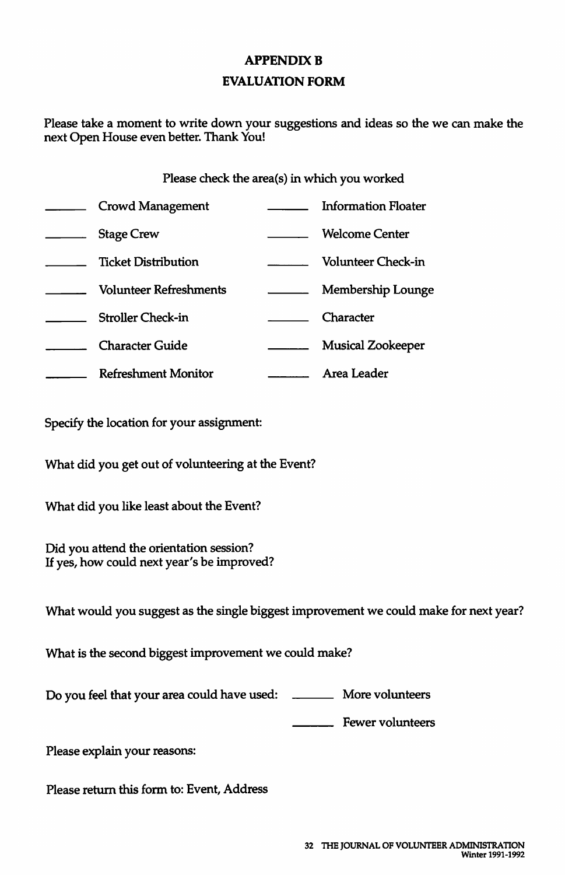# **APPENDIX B EVALUATION FORM**

Please take a moment to write down your suggestions and ideas so the we can make the next Open House even better. Thank You!

### Please check the area(s) in which you worked

| Crowd Management              | Information Floater      |
|-------------------------------|--------------------------|
| <b>Stage Crew</b>             | <b>Welcome Center</b>    |
| <b>Ticket Distribution</b>    | Volunteer Check-in       |
| <b>Volunteer Refreshments</b> | Membership Lounge        |
| <b>Stroller Check-in</b>      | Character                |
| <b>Character Guide</b>        | <b>Musical Zookeeper</b> |
| <b>Refreshment Monitor</b>    | Area Leader              |

Specify the location for your assignment:

What did you get out of volunteering at the Event?

What did you like least about the Event?

Did you attend the orientation session? If yes, how could next year's be improved?

What would you suggest as the single biggest improvement we could make for next year?

What is the second biggest improvement we could make?

Do you feel that your area could have used: More volunteers

**E** Fewer volunteers

Please explain your reasons:

Please return this form to: Event, Address